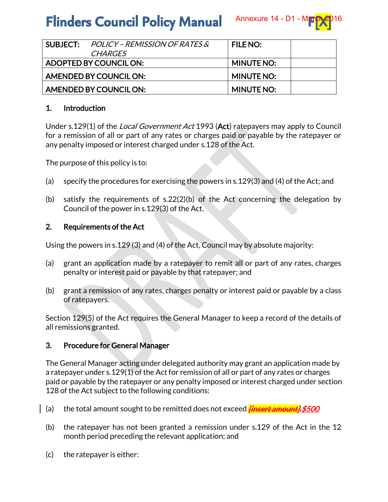# **Flinders Council Policy Manual**

|                        | $SUBLECT: POLICY-REMISSION OF RATES &$ | <b>FILE NO:</b>   |  |
|------------------------|----------------------------------------|-------------------|--|
|                        | <i>CHARGES</i>                         |                   |  |
| ADOPTED BY COUNCIL ON: |                                        | <b>MINUTE NO:</b> |  |
| AMENDED BY COUNCIL ON: |                                        | <b>MINUTE NO:</b> |  |
| AMENDED BY COUNCIL ON: |                                        | <b>MINUTE NO:</b> |  |

## 1. Introduction

Under s.129(1) of the *Local Government Act* 1993 (Act) ratepayers may apply to Council for a remission of all or part of any rates or charges paid or payable by the ratepayer or any penalty imposed or interest charged under s.128 of the Act.

The purpose of this policy is to:

- (a) specify the procedures for exercising the powers in s.129(3) and (4) of the Act; and
- (b) satisfy the requirements of s.22(2)(b) of the Act concerning the delegation by Council of the power in s.129(3) of the Act.

## 2. Requirements of the Act

Using the powers in s.129 (3) and (4) of the Act, Council may by absolute majority:

- (a) grant an application made by a ratepayer to remit all or part of any rates, charges penalty or interest paid or payable by that ratepayer; and
- (b) grant a remission of any rates, charges penalty or interest paid or payable by a class of ratepayers.

Section 129(5) of the Act requires the General Manager to keep a record of the details of all remissions granted.

## 3. Procedure for General Manager

The General Manager acting under delegated authority may grant an application made by a ratepayer under s.129(1) of the Act for remission of all or part of any rates or charges paid or payable by the ratepayer or any penalty imposed or interest charged under section 128 of the Act subject to the following conditions:

- (a) the total amount sought to be remitted does not exceed *finsert amount];\$500*
- (b) the ratepayer has not been granted a remission under s.129 of the Act in the 12 month period preceding the relevant application; and
- (c) the ratepayer is either: